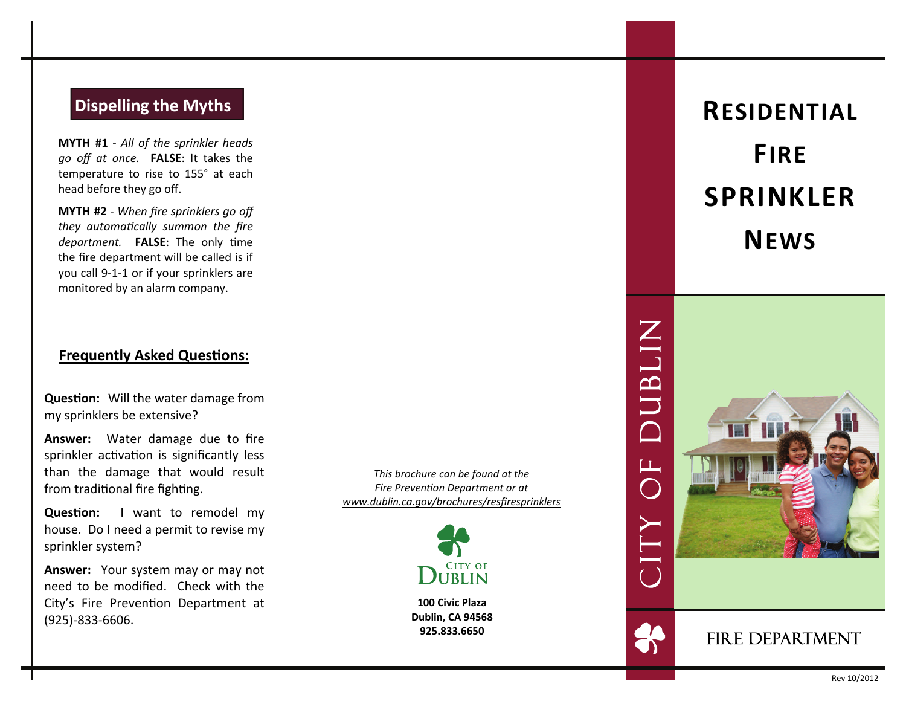# **Dispelling the Myths**

**MYTH #1** - *All of the sprinkler heads go <sup>o</sup>ff at once.* **FALSE**: It takes the temperature to rise to 155° at each head before they go o ff.

**MYTH #2** - *When fire sprinklers go <sup>o</sup>ff they automa Ɵcally summon the fire department.* **FALSE**: The only time the fire department will be called is if you call 9-1-1 or if your sprinklers are monitored by an alarm company.

## **Frequently Asked Ques Ɵons:**

**Ques Ɵon:** Will the water damage from my sprinklers be extensive?

**Answer:** Water damage due to fire sprinkler activation is significantly less than the damage that would result from traditional fire fighting.

**Ques Ɵon:** I want to remodel my house. Do I need <sup>a</sup> permit to revise my sprinkler system?

**Answer:** Your system may or may not need to be modi fied. Check with the City's Fire Prevention Department at (925)-833-6606.

*This brochure can be found at the Fire PrevenƟon Department or at www.dublin.ca.gov/brochures/resfiresprinklers*



**100 Civic Plaza Dublin, CA 94568 925.833.6650**

**RESIDENTIALFIRESPRINKLERNEWS**